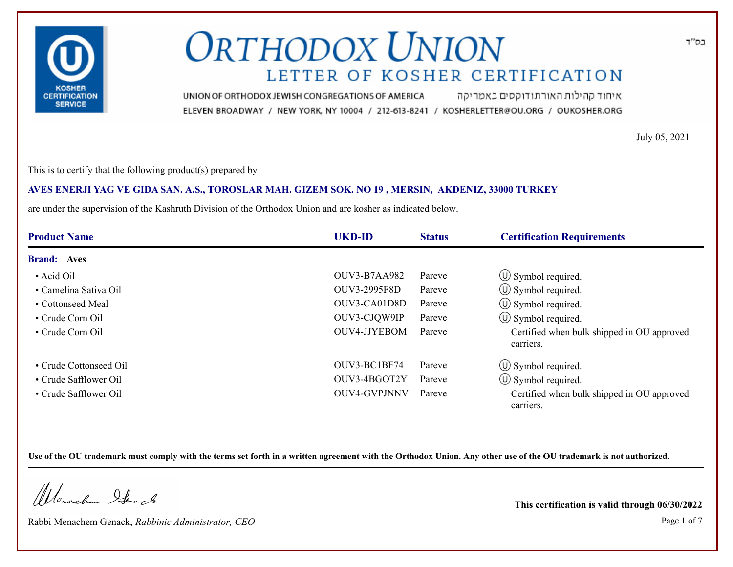

איחוד קהילות האורתודוקסים באמריקה UNION OF ORTHODOX JEWISH CONGREGATIONS OF AMERICA ELEVEN BROADWAY / NEW YORK, NY 10004 / 212-613-8241 / KOSHERLETTER@OU.ORG / OUKOSHER.ORG

July 05, 2021

This is to certify that the following product(s) prepared by

### **AVES ENERJI YAG VE GIDA SAN. A.S., TOROSLAR MAH. GIZEM SOK. NO 19 , MERSIN, AKDENIZ, 33000 TURKEY**

are under the supervision of the Kashruth Division of the Orthodox Union and are kosher as indicated below.

| <b>Product Name</b>    | <b>UKD-ID</b>       | <b>Status</b> | <b>Certification Requirements</b>                       |
|------------------------|---------------------|---------------|---------------------------------------------------------|
| <b>Brand: Aves</b>     |                     |               |                                                         |
| • Acid Oil             | <b>OUV3-B7AA982</b> | Pareve        | $\circ$ Symbol required.                                |
| • Camelina Sativa Oil  | OUV3-2995F8D        | Pareve        | $\circ$ Symbol required.                                |
| • Cottonseed Meal      | OUV3-CA01D8D        | Pareve        | $\circled{1}$ Symbol required.                          |
| • Crude Corn Oil       | OUV3-CJQW9IP        | Pareve        | $\circled{1}$ Symbol required.                          |
| • Crude Corn Oil       | OUV4-JJYEBOM        | Pareve        | Certified when bulk shipped in OU approved<br>carriers. |
| • Crude Cottonseed Oil | OUV3-BC1BF74        | Pareve        | $\circ$ Symbol required.                                |
| • Crude Safflower Oil  | OUV3-4BGOT2Y        | Pareve        | $\circled{1}$ Symbol required.                          |
| • Crude Safflower Oil  | <b>OUV4-GVPJNNV</b> | Pareve        | Certified when bulk shipped in OU approved<br>carriers. |

**Use of the OU trademark must comply with the terms set forth in a written agreement with the Orthodox Union. Any other use of the OU trademark is not authorized.**

Werschn Stack

Rabbi Menachem Genack, *Rabbinic Administrator, CEO* Page 1 of 7

**This certification is valid through 06/30/2022**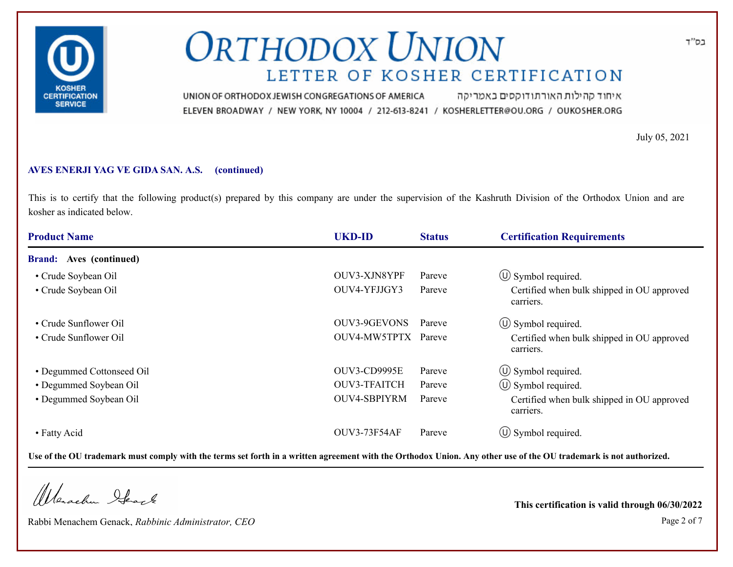

איחוד קהילות האורתודוקסים באמריקה UNION OF ORTHODOX JEWISH CONGREGATIONS OF AMERICA ELEVEN BROADWAY / NEW YORK, NY 10004 / 212-613-8241 / KOSHERLETTER@OU.ORG / OUKOSHER.ORG

July 05, 2021

#### **AVES ENERJI YAG VE GIDA SAN. A.S. (continued)**

This is to certify that the following product(s) prepared by this company are under the supervision of the Kashruth Division of the Orthodox Union and are kosher as indicated below.

| <b>Product Name</b>               | <b>UKD-ID</b>       | <b>Status</b> | <b>Certification Requirements</b>                       |
|-----------------------------------|---------------------|---------------|---------------------------------------------------------|
| Aves (continued)<br><b>Brand:</b> |                     |               |                                                         |
| • Crude Soybean Oil               | OUV3-XJN8YPF        | Pareve        | $\circ$ Symbol required.                                |
| • Crude Soybean Oil               | OUV4-YFJJGY3        | Pareve        | Certified when bulk shipped in OU approved<br>carriers. |
| • Crude Sunflower Oil             | <b>OUV3-9GEVONS</b> | Pareve        | $\circ$ Symbol required.                                |
| • Crude Sunflower Oil             | OUV4-MW5TPTX Pareve |               | Certified when bulk shipped in OU approved<br>carriers. |
| • Degummed Cottonseed Oil         | OUV3-CD9995E        | Pareve        | $\circ$ Symbol required.                                |
| • Degummed Soybean Oil            | OUV3-TFAITCH        | Pareve        | $\circ$ Symbol required.                                |
| • Degummed Soybean Oil            | OUV4-SBPIYRM        | Pareve        | Certified when bulk shipped in OU approved<br>carriers. |
| • Fatty Acid                      | OUV3-73F54AF        | Pareve        | $\circ$ Symbol required.                                |

**Use of the OU trademark must comply with the terms set forth in a written agreement with the Orthodox Union. Any other use of the OU trademark is not authorized.**

Werachen Stack

Rabbi Menachem Genack, *Rabbinic Administrator, CEO* Page 2 of 7

**This certification is valid through 06/30/2022**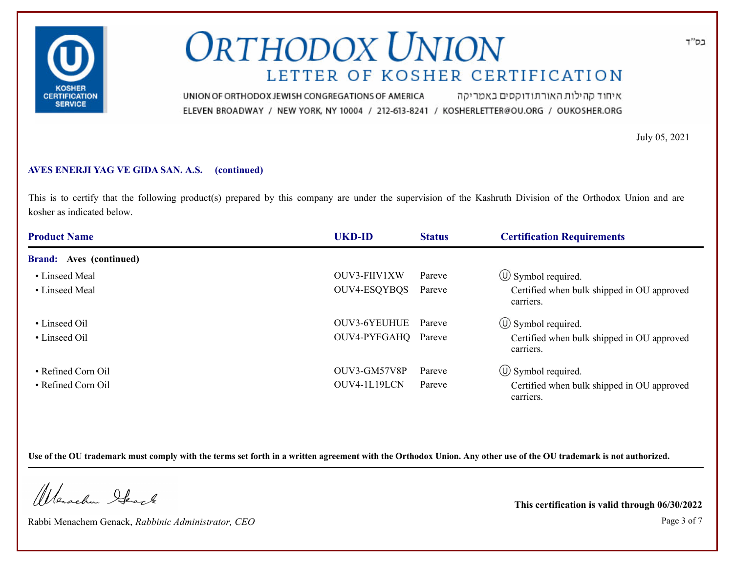

איחוד קהילות האורתודוקסים באמריקה UNION OF ORTHODOX JEWISH CONGREGATIONS OF AMERICA ELEVEN BROADWAY / NEW YORK, NY 10004 / 212-613-8241 / KOSHERLETTER@OU.ORG / OUKOSHER.ORG

July 05, 2021

### **AVES ENERJI YAG VE GIDA SAN. A.S. (continued)**

This is to certify that the following product(s) prepared by this company are under the supervision of the Kashruth Division of the Orthodox Union and are kosher as indicated below.

| <b>Product Name</b>            | <b>UKD-ID</b>       | <b>Status</b> | <b>Certification Requirements</b>                       |
|--------------------------------|---------------------|---------------|---------------------------------------------------------|
| <b>Brand:</b> Aves (continued) |                     |               |                                                         |
| • Linseed Meal                 | OUV3-FIIV1XW        | Pareve        | $\circ$ Symbol required.                                |
| • Linseed Meal                 | OUV4-ESQYBQS        | Pareve        | Certified when bulk shipped in OU approved<br>carriers. |
| • Linseed Oil                  | OUV3-6YEUHUE Pareve |               | $\circ$ Symbol required.                                |
| • Linseed Oil                  | OUV4-PYFGAHQ Pareve |               | Certified when bulk shipped in OU approved<br>carriers. |
| • Refined Corn Oil             | OUV3-GM57V8P        | Pareve        | $\circled{1}$ Symbol required.                          |
| • Refined Corn Oil             | OUV4-1L19LCN        | Pareve        | Certified when bulk shipped in OU approved<br>carriers. |

**Use of the OU trademark must comply with the terms set forth in a written agreement with the Orthodox Union. Any other use of the OU trademark is not authorized.**

Werachen Stack

Rabbi Menachem Genack, *Rabbinic Administrator, CEO* Page 3 of 7

**This certification is valid through 06/30/2022**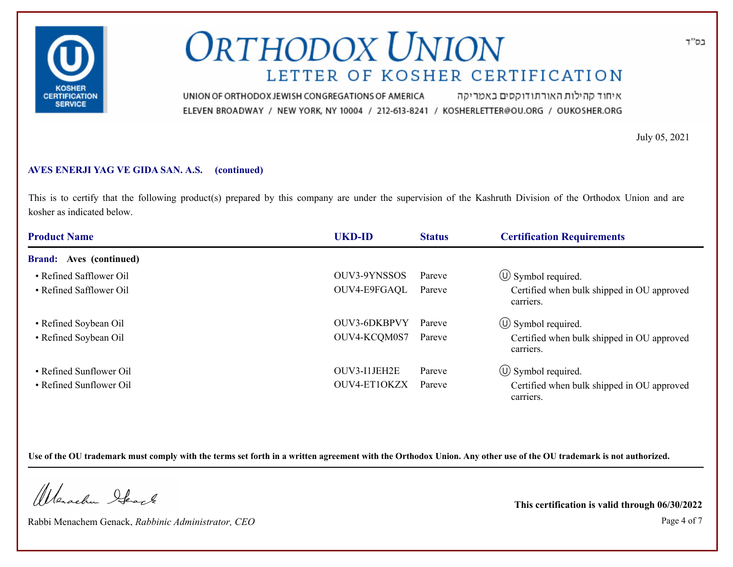

איחוד קהילות האורתודוקסים באמריקה UNION OF ORTHODOX JEWISH CONGREGATIONS OF AMERICA ELEVEN BROADWAY / NEW YORK, NY 10004 / 212-613-8241 / KOSHERLETTER@OU.ORG / OUKOSHER.ORG

July 05, 2021

#### **AVES ENERJI YAG VE GIDA SAN. A.S. (continued)**

This is to certify that the following product(s) prepared by this company are under the supervision of the Kashruth Division of the Orthodox Union and are kosher as indicated below.

| <b>Product Name</b>            | <b>UKD-ID</b> | <b>Status</b> | <b>Certification Requirements</b>                       |
|--------------------------------|---------------|---------------|---------------------------------------------------------|
| <b>Brand:</b> Aves (continued) |               |               |                                                         |
| • Refined Safflower Oil        | OUV3-9YNSSOS  | Pareve        | $\circled{1}$ Symbol required.                          |
| • Refined Safflower Oil        | OUV4-E9FGAQL  | Pareve        | Certified when bulk shipped in OU approved<br>carriers. |
| • Refined Soybean Oil          | OUV3-6DKBPVY  | Pareve        | $\circ$ Symbol required.                                |
| • Refined Soybean Oil          | OUV4-KCQM0S7  | Pareve        | Certified when bulk shipped in OU approved<br>carriers. |
| • Refined Sunflower Oil        | OUV3-I1JEH2E  | Pareve        | $\circ$ Symbol required.                                |
| • Refined Sunflower Oil        | OUV4-ET1OKZX  | Pareve        | Certified when bulk shipped in OU approved<br>carriers. |

**Use of the OU trademark must comply with the terms set forth in a written agreement with the Orthodox Union. Any other use of the OU trademark is not authorized.**

Werachen Stack

Rabbi Menachem Genack, *Rabbinic Administrator, CEO* Page 4 of 7

**This certification is valid through 06/30/2022**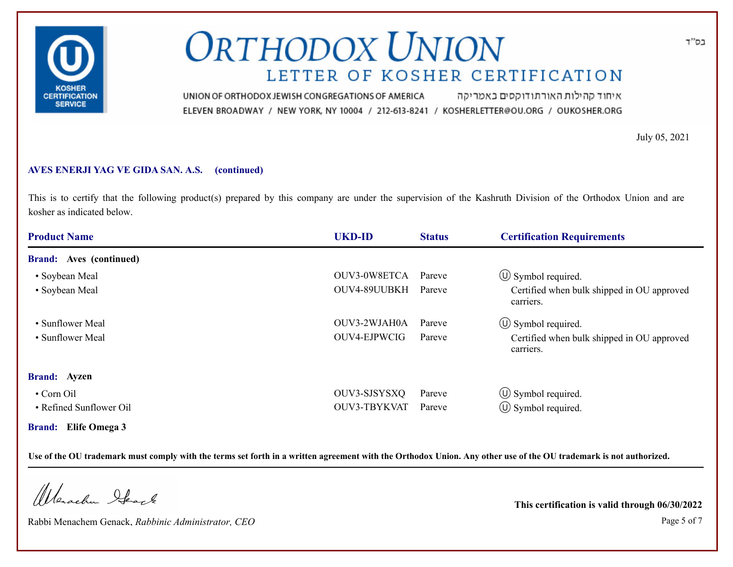

איחוד קהילות האורתודוקסים באמריקה UNION OF ORTHODOX JEWISH CONGREGATIONS OF AMERICA ELEVEN BROADWAY / NEW YORK, NY 10004 / 212-613-8241 / KOSHERLETTER@OU.ORG / OUKOSHER.ORG

July 05, 2021

### **AVES ENERJI YAG VE GIDA SAN. A.S. (continued)**

This is to certify that the following product(s) prepared by this company are under the supervision of the Kashruth Division of the Orthodox Union and are kosher as indicated below.

| <b>Product Name</b>            | <b>UKD-ID</b> | <b>Status</b> | <b>Certification Requirements</b>                       |
|--------------------------------|---------------|---------------|---------------------------------------------------------|
| <b>Brand:</b> Aves (continued) |               |               |                                                         |
| • Soybean Meal                 | OUV3-0W8ETCA  | Pareve        | $\circled{1}$ Symbol required.                          |
| • Soybean Meal                 | OUV4-89UUBKH  | Pareve        | Certified when bulk shipped in OU approved<br>carriers. |
| • Sunflower Meal               | OUV3-2WJAH0A  | Pareve        | $\circled{1}$ Symbol required.                          |
| • Sunflower Meal               | OUV4-EJPWCIG  | Pareve        | Certified when bulk shipped in OU approved<br>carriers. |
| <b>Brand:</b> Ayzen            |               |               |                                                         |
| • Corn Oil                     | OUV3-SJSYSXQ  | Pareve        | $\circled{1}$ Symbol required.                          |
| • Refined Sunflower Oil        | OUV3-TBYKVAT  | Pareve        | $\circ$ Symbol required.                                |
| <b>Brand:</b> Elife Omega 3    |               |               |                                                         |

**Use of the OU trademark must comply with the terms set forth in a written agreement with the Orthodox Union. Any other use of the OU trademark is not authorized.**

Werachen Ifearle

Rabbi Menachem Genack, *Rabbinic Administrator, CEO* Page 5 of 7

**This certification is valid through 06/30/2022**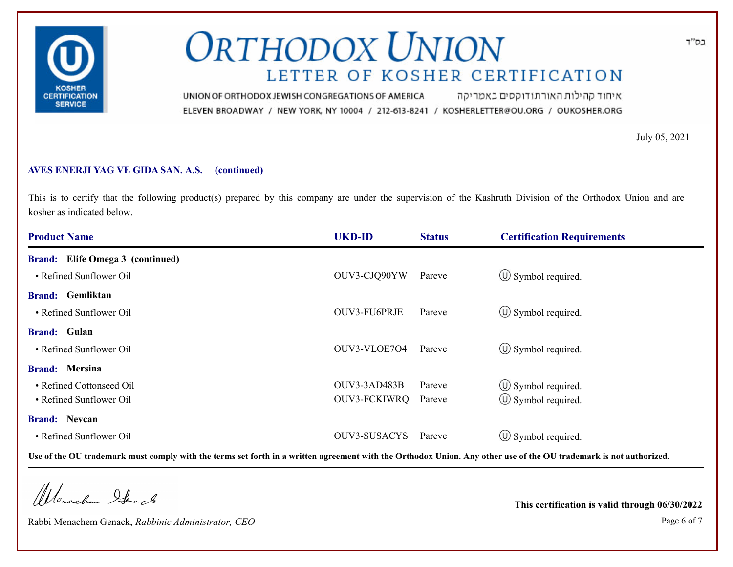

איחוד קהילות האורתודוקסים באמריקה UNION OF ORTHODOX JEWISH CONGREGATIONS OF AMERICA ELEVEN BROADWAY / NEW YORK, NY 10004 / 212-613-8241 / KOSHERLETTER@OU.ORG / OUKOSHER.ORG

July 05, 2021

### **AVES ENERJI YAG VE GIDA SAN. A.S. (continued)**

This is to certify that the following product(s) prepared by this company are under the supervision of the Kashruth Division of the Orthodox Union and are kosher as indicated below.

| <b>Product Name</b>                     | <b>UKD-ID</b>       | <b>Status</b> | <b>Certification Requirements</b> |  |
|-----------------------------------------|---------------------|---------------|-----------------------------------|--|
| <b>Brand:</b> Elife Omega 3 (continued) |                     |               |                                   |  |
| • Refined Sunflower Oil                 | OUV3-CJQ90YW        | Pareve        | $\circled{1}$ Symbol required.    |  |
| <b>Brand:</b> Gemliktan                 |                     |               |                                   |  |
| • Refined Sunflower Oil                 | OUV3-FU6PRJE        | Pareve        | $\circled{1}$ Symbol required.    |  |
| <b>Brand:</b> Gulan                     |                     |               |                                   |  |
| • Refined Sunflower Oil                 | OUV3-VLOE704        | Pareve        | $\circled{0}$ Symbol required.    |  |
| <b>Brand:</b> Mersina                   |                     |               |                                   |  |
| • Refined Cottonseed Oil                | OUV3-3AD483B        | Pareve        | $\circled{1}$ Symbol required.    |  |
| • Refined Sunflower Oil                 | OUV3-FCKIWRQ        | Pareve        | $\circ$ Symbol required.          |  |
| <b>Brand: Nevcan</b>                    |                     |               |                                   |  |
| • Refined Sunflower Oil                 | <b>OUV3-SUSACYS</b> | Pareve        | $\circ$ Symbol required.          |  |

**Use of the OU trademark must comply with the terms set forth in a written agreement with the Orthodox Union. Any other use of the OU trademark is not authorized.**

Werachen Stack

Rabbi Menachem Genack, *Rabbinic Administrator, CEO* Page 6 of 7

**This certification is valid through 06/30/2022**